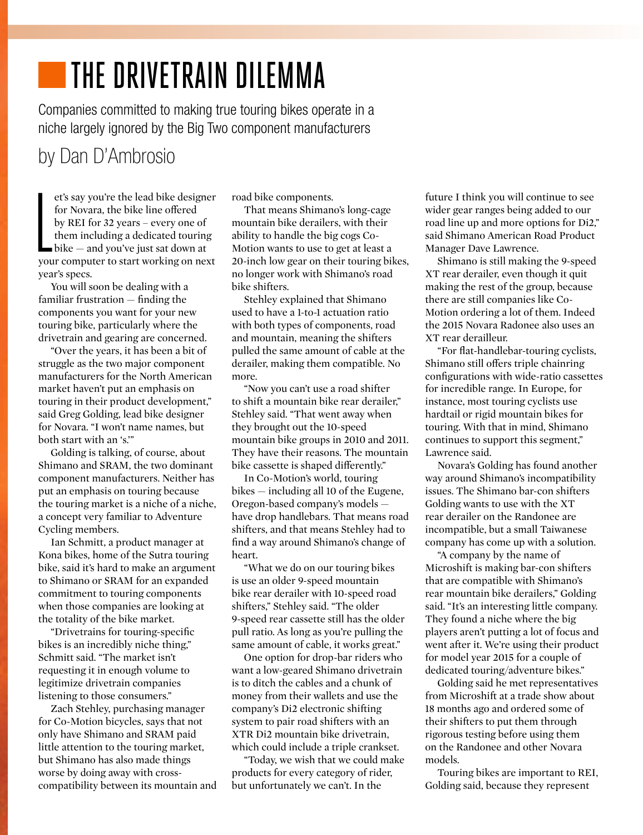# **THE DRIVETRAIN DILEMMA**

Companies committed to making true touring bikes operate in a niche largely ignored by the Big Two component manufacturers

### by Dan D'Ambrosio

et's say you're the lead bike designer<br>for Novara, the bike line offered<br>by REI for 32 years – every one of<br>them including a dedicated touring<br>bike – and you've just sat down at<br>your computer to start working on next et's say you're the lead bike designer for Novara, the bike line offered by REI for 32 years – every one of them including a dedicated touring  $\blacksquare$  bike  $-$  and you've just sat down at year's specs.

You will soon be dealing with a familiar frustration — finding the components you want for your new touring bike, particularly where the drivetrain and gearing are concerned.

"Over the years, it has been a bit of struggle as the two major component manufacturers for the North American market haven't put an emphasis on touring in their product development," said Greg Golding, lead bike designer for Novara. "I won't name names, but both start with an 's.'"

Golding is talking, of course, about Shimano and SRAM, the two dominant component manufacturers. Neither has put an emphasis on touring because the touring market is a niche of a niche, a concept very familiar to Adventure Cycling members.

Ian Schmitt, a product manager at Kona bikes, home of the Sutra touring bike, said it's hard to make an argument to Shimano or SRAM for an expanded commitment to touring components when those companies are looking at the totality of the bike market.

"Drivetrains for touring-specific bikes is an incredibly niche thing," Schmitt said. "The market isn't requesting it in enough volume to legitimize drivetrain companies listening to those consumers."

Zach Stehley, purchasing manager for Co-Motion bicycles, says that not only have Shimano and SRAM paid little attention to the touring market, but Shimano has also made things worse by doing away with crosscompatibility between its mountain and road bike components.

That means Shimano's long-cage mountain bike derailers, with their ability to handle the big cogs Co-Motion wants to use to get at least a 20-inch low gear on their touring bikes, no longer work with Shimano's road bike shifters.

Stehley explained that Shimano used to have a 1-to-1 actuation ratio with both types of components, road and mountain, meaning the shifters pulled the same amount of cable at the derailer, making them compatible. No more.

"Now you can't use a road shifter to shift a mountain bike rear derailer," Stehley said. "That went away when they brought out the 10-speed mountain bike groups in 2010 and 2011. They have their reasons. The mountain bike cassette is shaped differently."

In Co-Motion's world, touring bikes — including all 10 of the Eugene, Oregon-based company's models have drop handlebars. That means road shifters, and that means Stehley had to find a way around Shimano's change of heart.

"What we do on our touring bikes is use an older 9-speed mountain bike rear derailer with 10-speed road shifters," Stehley said. "The older 9-speed rear cassette still has the older pull ratio. As long as you're pulling the same amount of cable, it works great."

One option for drop-bar riders who want a low-geared Shimano drivetrain is to ditch the cables and a chunk of money from their wallets and use the company's Di2 electronic shifting system to pair road shifters with an XTR Di2 mountain bike drivetrain, which could include a triple crankset.

"Today, we wish that we could make products for every category of rider, but unfortunately we can't. In the

future I think you will continue to see wider gear ranges being added to our road line up and more options for Di2," said Shimano American Road Product Manager Dave Lawrence.

Shimano is still making the 9-speed XT rear derailer, even though it quit making the rest of the group, because there are still companies like Co-Motion ordering a lot of them. Indeed the 2015 Novara Radonee also uses an XT rear derailleur.

"For flat-handlebar-touring cyclists, Shimano still offers triple chainring configurations with wide-ratio cassettes for incredible range. In Europe, for instance, most touring cyclists use hardtail or rigid mountain bikes for touring. With that in mind, Shimano continues to support this segment," Lawrence said.

Novara's Golding has found another way around Shimano's incompatibility issues. The Shimano bar-con shifters Golding wants to use with the XT rear derailer on the Randonee are incompatible, but a small Taiwanese company has come up with a solution.

"A company by the name of Microshift is making bar-con shifters that are compatible with Shimano's rear mountain bike derailers," Golding said. "It's an interesting little company. They found a niche where the big players aren't putting a lot of focus and went after it. We're using their product for model year 2015 for a couple of dedicated touring/adventure bikes."

Golding said he met representatives from Microshift at a trade show about 18 months ago and ordered some of their shifters to put them through rigorous testing before using them on the Randonee and other Novara models.

Touring bikes are important to REI, Golding said, because they represent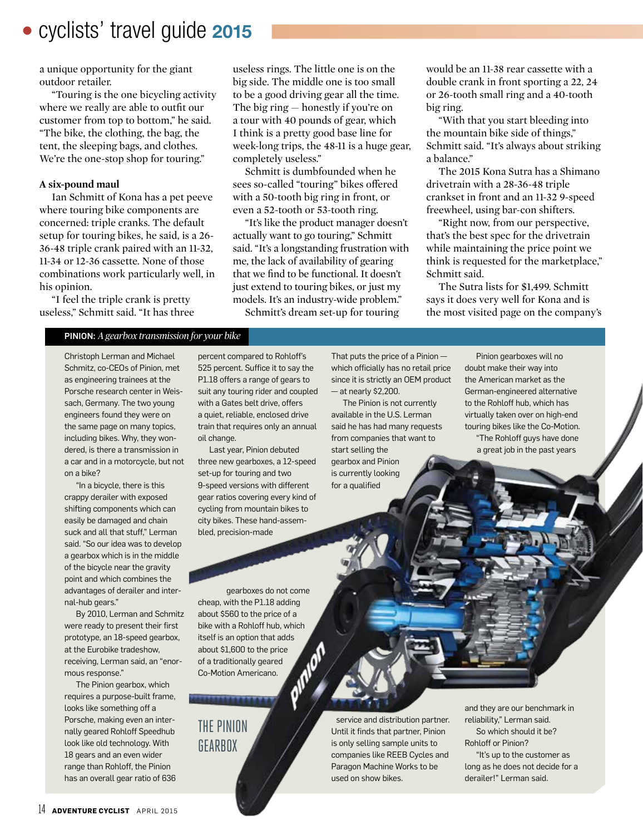## • cyclists' travel guide 2015

a unique opportunity for the giant outdoor retailer.

"Touring is the one bicycling activity where we really are able to outfit our customer from top to bottom," he said. "The bike, the clothing, the bag, the tent, the sleeping bags, and clothes. We're the one-stop shop for touring."

#### **A six-pound maul**

Ian Schmitt of Kona has a pet peeve where touring bike components are concerned: triple cranks. The default setup for touring bikes, he said, is a 26- 36-48 triple crank paired with an 11-32, 11-34 or 12-36 cassette. None of those combinations work particularly well, in his opinion.

"I feel the triple crank is pretty useless," Schmitt said. "It has three

useless rings. The little one is on the big side. The middle one is too small to be a good driving gear all the time. The big ring — honestly if you're on a tour with 40 pounds of gear, which I think is a pretty good base line for week-long trips, the 48-11 is a huge gear, completely useless."

Schmitt is dumbfounded when he sees so-called "touring" bikes offered with a 50-tooth big ring in front, or even a 52-tooth or 53-tooth ring.

"It's like the product manager doesn't actually want to go touring," Schmitt said. "It's a longstanding frustration with me, the lack of availability of gearing that we find to be functional. It doesn't just extend to touring bikes, or just my models. It's an industry-wide problem." Schmitt's dream set-up for touring

would be an 11-38 rear cassette with a double crank in front sporting a 22, 24 or 26-tooth small ring and a 40-tooth big ring.

"With that you start bleeding into the mountain bike side of things," Schmitt said. "It's always about striking a balance."

The 2015 Kona Sutra has a Shimano drivetrain with a 28-36-48 triple crankset in front and an 11-32 9-speed freewheel, using bar-con shifters.

"Right now, from our perspective, that's the best spec for the drivetrain while maintaining the price point we think is requested for the marketplace," Schmitt said.

The Sutra lists for \$1,499. Schmitt says it does very well for Kona and is the most visited page on the company's

#### PINION: *A gearbox transmission for your bike*

Christoph Lerman and Michael Schmitz, co-CEOs of Pinion, met as engineering trainees at the Porsche research center in Weissach, Germany. The two young engineers found they were on the same page on many topics, including bikes. Why, they wondered, is there a transmission in a car and in a motorcycle, but not on a bike?

"In a bicycle, there is this crappy derailer with exposed shifting components which can easily be damaged and chain suck and all that stuff," Lerman said. "So our idea was to develop a gearbox which is in the middle of the bicycle near the gravity point and which combines the advantages of derailer and internal-hub gears."

By 2010, Lerman and Schmitz were ready to present their first prototype, an 18-speed gearbox, at the Eurobike tradeshow, receiving, Lerman said, an "enormous response."

The Pinion gearbox, which requires a purpose-built frame, looks like something off a Porsche, making even an internally geared Rohloff Speedhub look like old technology. With 18 gears and an even wider range than Rohloff, the Pinion has an overall gear ratio of 636

percent compared to Rohloff's 525 percent. Suffice it to say the P1.18 offers a range of gears to suit any touring rider and coupled with a Gates belt drive, offers a quiet, reliable, enclosed drive train that requires only an annual oil change.

Last year, Pinion debuted three new gearboxes, a 12-speed set-up for touring and two 9-speed versions with different gear ratios covering every kind of cycling from mountain bikes to city bikes. These hand-assembled, precision-made

That puts the price of a Pinion which officially has no retail price since it is strictly an OEM product  $-$  at nearly \$2,200.

The Pinion is not currently available in the U.S. Lerman said he has had many requests from companies that want to start selling the gearbox and Pinion is currently looking for a qualified

Pinion gearboxes will no doubt make their way into the American market as the German-engineered alternative to the Rohloff hub, which has virtually taken over on high-end touring bikes like the Co-Motion. "The Rohloff guys have done

a great job in the past years

gearboxes do not come cheap, with the P1.18 adding about \$560 to the price of a bike with a Rohloff hub, which itself is an option that adds about \$1,600 to the price of a traditionally geared Co-Motion Americano.

# THE PINION GEARBOX

service and distribution partner. Until it finds that partner, Pinion is only selling sample units to companies like REEB Cycles and Paragon Machine Works to be used on show bikes.

and they are our benchmark in reliability," Lerman said. So which should it be? Rohloff or Pinion?

"It's up to the customer as long as he does not decide for a derailer!" Lerman said.